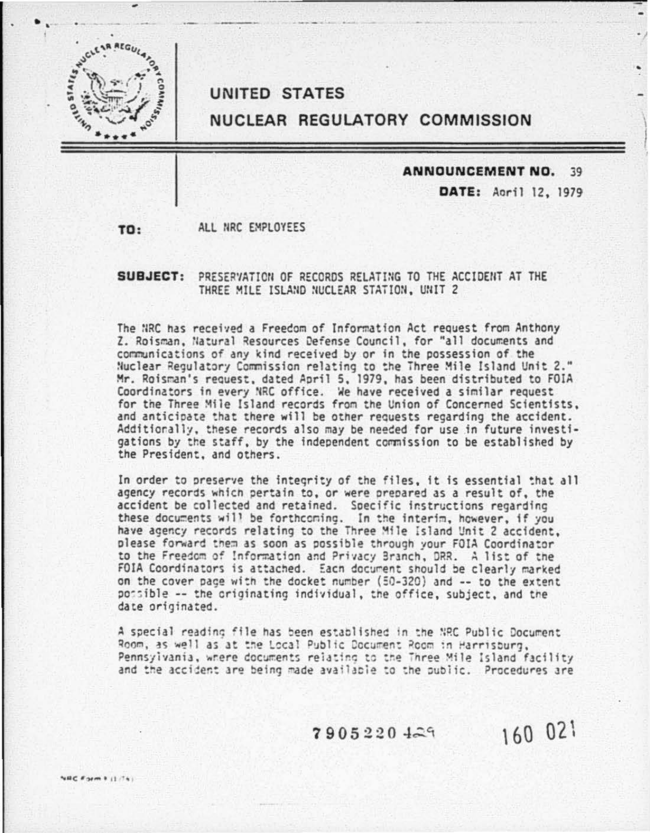

## **UNITED STATES**

## NUCLEAR REGULATORY COMMISSION

#### ANNOUNCEMENT NO. 39

DATE: April 12, 1979

ALL NRC EMPLOYEES TO:

### SUBJECT: PRESERVATION OF RECORDS RELATING TO THE ACCIDENT AT THE THREE MILE ISLAND NUCLEAR STATION, UNIT 2

The NRC has received a Freedom of Information Act request from Anthony Z. Roisman, Natural Resources Defense Council, for "all documents and communications of any kind received by or in the possession of the Nuclear Regulatory Commission relating to the Three Mile Island Unit 2." Mr. Roisman's request, dated April 5, 1979, has been distributed to FOIA Coordinators in every NRC office. We have received a similar request for the Three Mile Island records from the Union of Concerned Scientists. and anticipate that there will be other requests regarding the accident. Additionally, these records also may be needed for use in future investigations by the staff, by the independent commission to be established by the President, and others.

In order to preserve the integrity of the files, it is essential that all agency records which pertain to, or were prepared as a result of, the accident be collected and retained. Specific instructions regarding these documents will be forthcoming. In the interim, however, if you have agency records relating to the Three Mile Island Unit 2 accident. please forward them as soon as possible through your FOIA Coordinator to the Freedom of Information and Privacy Branch, DRR. A list of the FOIA Coordinators is attached. Each document should be clearly marked on the cover page with the docket number (50-320) and -- to the extent possible -- the originating individual, the office, subject, and the date originated.

A special reading file has been established in the NRC Public Document Room, as well as at the Local Public Document Room in Harrisburg, Pennsylvania, where documents relating to the Three Mile Island facility and the accident are being made available to the public. Procedures are

 $7905220429$ 

160 021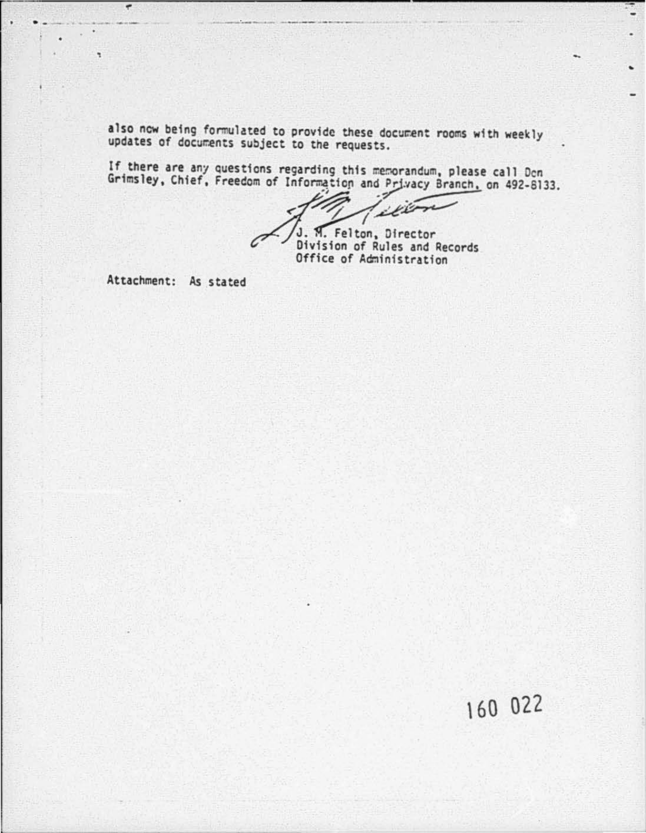also now being formulated to provide these document rooms with weekly updates of documents subject to the requests.

If there are any questions regarding this memorandum, please call Don<br>Grimsley, Chief, Freedom of Information and Privacy Branch, on 492-8133.

illow J. M. Felton, Director

Division of Rules and Records Office of Administration

Attachment: As stated

 $\overline{ }$ 

# 160 022